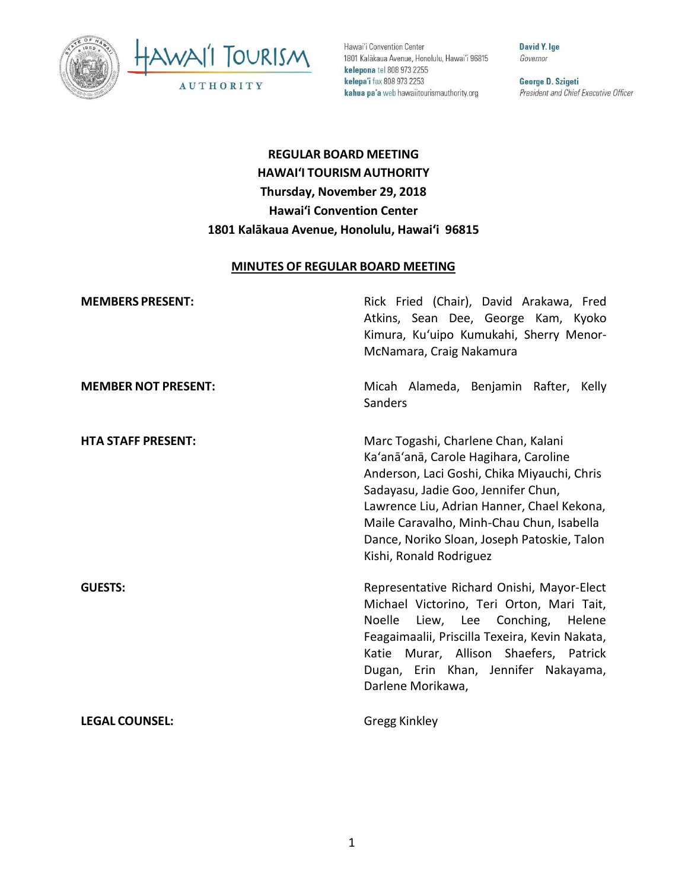



Hawai'i Convention Center 1801 Kalākaua Avenue, Honolulu, Hawai'i 96815 kelepona tel 808 973 2255 kelepa'i fax 808 973 2253 kahua pa'a web hawaiitourismauthority.org

**David Y. Ige** Governor

George D. Szigeti President and Chief Executive Officer

# **REGULAR BOARD MEETING HAWAI'I TOURISM AUTHORITY Thursday, November 29, 2018 Hawai'i Convention Center 1801 Kalākaua Avenue, Honolulu, Hawai'i 96815**

#### **MINUTES OF REGULAR BOARD MEETING**

| <b>MEMBERS PRESENT:</b>    | Rick Fried (Chair), David Arakawa, Fred<br>Atkins, Sean Dee, George Kam, Kyoko<br>Kimura, Ku'uipo Kumukahi, Sherry Menor-<br>McNamara, Craig Nakamura                                                                                                                                                                                   |
|----------------------------|-----------------------------------------------------------------------------------------------------------------------------------------------------------------------------------------------------------------------------------------------------------------------------------------------------------------------------------------|
| <b>MEMBER NOT PRESENT:</b> | Micah Alameda, Benjamin Rafter, Kelly<br>Sanders                                                                                                                                                                                                                                                                                        |
| <b>HTA STAFF PRESENT:</b>  | Marc Togashi, Charlene Chan, Kalani<br>Ka'anā'anā, Carole Hagihara, Caroline<br>Anderson, Laci Goshi, Chika Miyauchi, Chris<br>Sadayasu, Jadie Goo, Jennifer Chun,<br>Lawrence Liu, Adrian Hanner, Chael Kekona,<br>Maile Caravalho, Minh-Chau Chun, Isabella<br>Dance, Noriko Sloan, Joseph Patoskie, Talon<br>Kishi, Ronald Rodriguez |
| <b>GUESTS:</b>             | Representative Richard Onishi, Mayor-Elect<br>Michael Victorino, Teri Orton, Mari Tait,<br>Liew, Lee Conching, Helene<br>Noelle<br>Feagaimaalii, Priscilla Texeira, Kevin Nakata,<br>Katie Murar, Allison Shaefers, Patrick<br>Dugan, Erin Khan, Jennifer Nakayama,<br>Darlene Morikawa,                                                |
| <b>LEGAL COUNSEL:</b>      | Gregg Kinkley                                                                                                                                                                                                                                                                                                                           |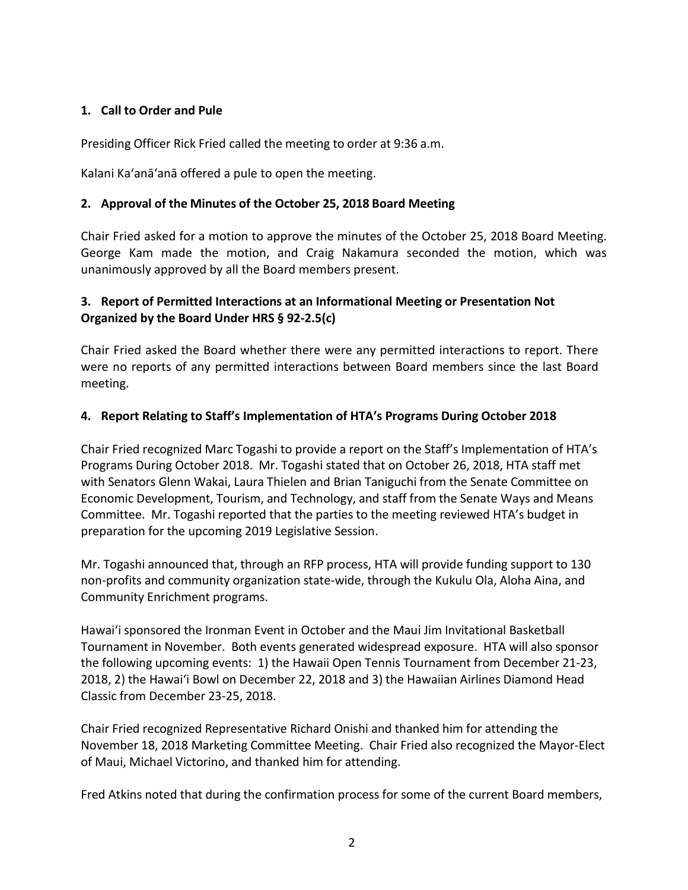## **1. Call to Order and Pule**

Presiding Officer Rick Fried called the meeting to order at 9:36 a.m.

Kalani Ka'anā'anā offered a pule to open the meeting.

#### **2. Approval of the Minutes of the October 25, 2018 Board Meeting**

Chair Fried asked for a motion to approve the minutes of the October 25, 2018 Board Meeting. George Kam made the motion, and Craig Nakamura seconded the motion, which was unanimously approved by all the Board members present.

## **3. Report of Permitted Interactions at an Informational Meeting or Presentation Not Organized by the Board Under HRS § 92-2.5(c)**

Chair Fried asked the Board whether there were any permitted interactions to report. There were no reports of any permitted interactions between Board members since the last Board meeting.

#### **4. Report Relating to Staff's Implementation of HTA's Programs During October 2018**

Chair Fried recognized Marc Togashi to provide a report on the Staff's Implementation of HTA's Programs During October 2018. Mr. Togashi stated that on October 26, 2018, HTA staff met with Senators Glenn Wakai, Laura Thielen and Brian Taniguchi from the Senate Committee on Economic Development, Tourism, and Technology, and staff from the Senate Ways and Means Committee. Mr. Togashi reported that the parties to the meeting reviewed HTA's budget in preparation for the upcoming 2019 Legislative Session.

Mr. Togashi announced that, through an RFP process, HTA will provide funding support to 130 non-profits and community organization state-wide, through the Kukulu Ola, Aloha Aina, and Community Enrichment programs.

Hawai'i sponsored the Ironman Event in October and the Maui Jim Invitational Basketball Tournament in November. Both events generated widespread exposure. HTA will also sponsor the following upcoming events: 1) the Hawaii Open Tennis Tournament from December 21-23, 2018, 2) the Hawai'i Bowl on December 22, 2018 and 3) the Hawaiian Airlines Diamond Head Classic from December 23-25, 2018.

Chair Fried recognized Representative Richard Onishi and thanked him for attending the November 18, 2018 Marketing Committee Meeting. Chair Fried also recognized the Mayor-Elect of Maui, Michael Victorino, and thanked him for attending.

Fred Atkins noted that during the confirmation process for some of the current Board members,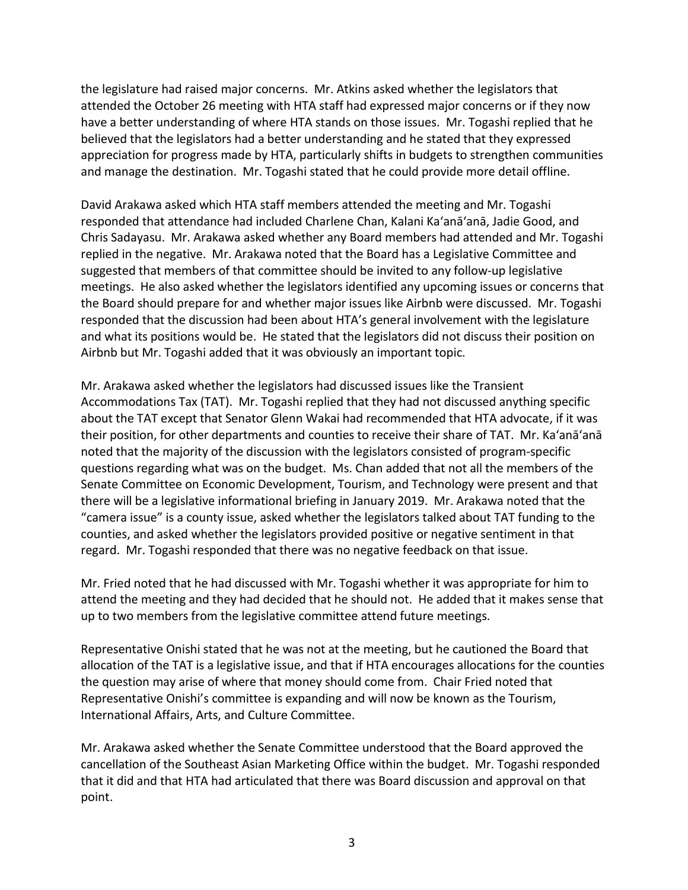the legislature had raised major concerns. Mr. Atkins asked whether the legislators that attended the October 26 meeting with HTA staff had expressed major concerns or if they now have a better understanding of where HTA stands on those issues. Mr. Togashi replied that he believed that the legislators had a better understanding and he stated that they expressed appreciation for progress made by HTA, particularly shifts in budgets to strengthen communities and manage the destination. Mr. Togashi stated that he could provide more detail offline.

David Arakawa asked which HTA staff members attended the meeting and Mr. Togashi responded that attendance had included Charlene Chan, Kalani Ka'anā'anā, Jadie Good, and Chris Sadayasu. Mr. Arakawa asked whether any Board members had attended and Mr. Togashi replied in the negative. Mr. Arakawa noted that the Board has a Legislative Committee and suggested that members of that committee should be invited to any follow-up legislative meetings. He also asked whether the legislators identified any upcoming issues or concerns that the Board should prepare for and whether major issues like Airbnb were discussed. Mr. Togashi responded that the discussion had been about HTA's general involvement with the legislature and what its positions would be. He stated that the legislators did not discuss their position on Airbnb but Mr. Togashi added that it was obviously an important topic.

Mr. Arakawa asked whether the legislators had discussed issues like the Transient Accommodations Tax (TAT). Mr. Togashi replied that they had not discussed anything specific about the TAT except that Senator Glenn Wakai had recommended that HTA advocate, if it was their position, for other departments and counties to receive their share of TAT. Mr. Ka'anā'anā noted that the majority of the discussion with the legislators consisted of program-specific questions regarding what was on the budget. Ms. Chan added that not all the members of the Senate Committee on Economic Development, Tourism, and Technology were present and that there will be a legislative informational briefing in January 2019. Mr. Arakawa noted that the "camera issue" is a county issue, asked whether the legislators talked about TAT funding to the counties, and asked whether the legislators provided positive or negative sentiment in that regard. Mr. Togashi responded that there was no negative feedback on that issue.

Mr. Fried noted that he had discussed with Mr. Togashi whether it was appropriate for him to attend the meeting and they had decided that he should not. He added that it makes sense that up to two members from the legislative committee attend future meetings.

Representative Onishi stated that he was not at the meeting, but he cautioned the Board that allocation of the TAT is a legislative issue, and that if HTA encourages allocations for the counties the question may arise of where that money should come from. Chair Fried noted that Representative Onishi's committee is expanding and will now be known as the Tourism, International Affairs, Arts, and Culture Committee.

Mr. Arakawa asked whether the Senate Committee understood that the Board approved the cancellation of the Southeast Asian Marketing Office within the budget. Mr. Togashi responded that it did and that HTA had articulated that there was Board discussion and approval on that point.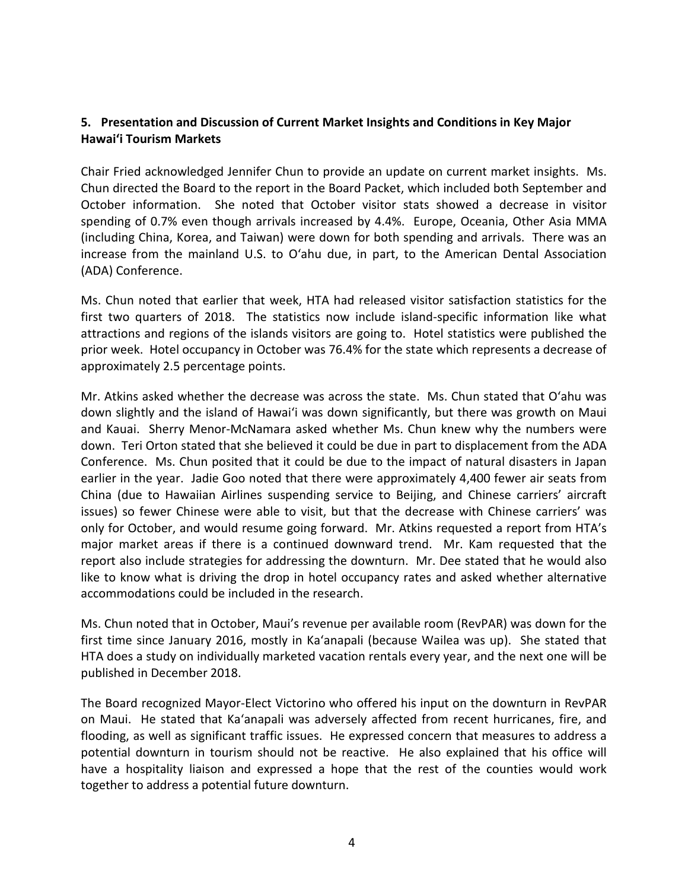## **5. Presentation and Discussion of Current Market Insights and Conditions in Key Major Hawai'i Tourism Markets**

Chair Fried acknowledged Jennifer Chun to provide an update on current market insights. Ms. Chun directed the Board to the report in the Board Packet, which included both September and October information. She noted that October visitor stats showed a decrease in visitor spending of 0.7% even though arrivals increased by 4.4%. Europe, Oceania, Other Asia MMA (including China, Korea, and Taiwan) were down for both spending and arrivals. There was an increase from the mainland U.S. to O'ahu due, in part, to the American Dental Association (ADA) Conference.

Ms. Chun noted that earlier that week, HTA had released visitor satisfaction statistics for the first two quarters of 2018. The statistics now include island-specific information like what attractions and regions of the islands visitors are going to. Hotel statistics were published the prior week. Hotel occupancy in October was 76.4% for the state which represents a decrease of approximately 2.5 percentage points.

Mr. Atkins asked whether the decrease was across the state. Ms. Chun stated that O'ahu was down slightly and the island of Hawai'i was down significantly, but there was growth on Maui and Kauai. Sherry Menor-McNamara asked whether Ms. Chun knew why the numbers were down. Teri Orton stated that she believed it could be due in part to displacement from the ADA Conference. Ms. Chun posited that it could be due to the impact of natural disasters in Japan earlier in the year. Jadie Goo noted that there were approximately 4,400 fewer air seats from China (due to Hawaiian Airlines suspending service to Beijing, and Chinese carriers' aircraft issues) so fewer Chinese were able to visit, but that the decrease with Chinese carriers' was only for October, and would resume going forward. Mr. Atkins requested a report from HTA's major market areas if there is a continued downward trend. Mr. Kam requested that the report also include strategies for addressing the downturn. Mr. Dee stated that he would also like to know what is driving the drop in hotel occupancy rates and asked whether alternative accommodations could be included in the research.

Ms. Chun noted that in October, Maui's revenue per available room (RevPAR) was down for the first time since January 2016, mostly in Ka'anapali (because Wailea was up). She stated that HTA does a study on individually marketed vacation rentals every year, and the next one will be published in December 2018.

The Board recognized Mayor-Elect Victorino who offered his input on the downturn in RevPAR on Maui. He stated that Ka'anapali was adversely affected from recent hurricanes, fire, and flooding, as well as significant traffic issues. He expressed concern that measures to address a potential downturn in tourism should not be reactive. He also explained that his office will have a hospitality liaison and expressed a hope that the rest of the counties would work together to address a potential future downturn.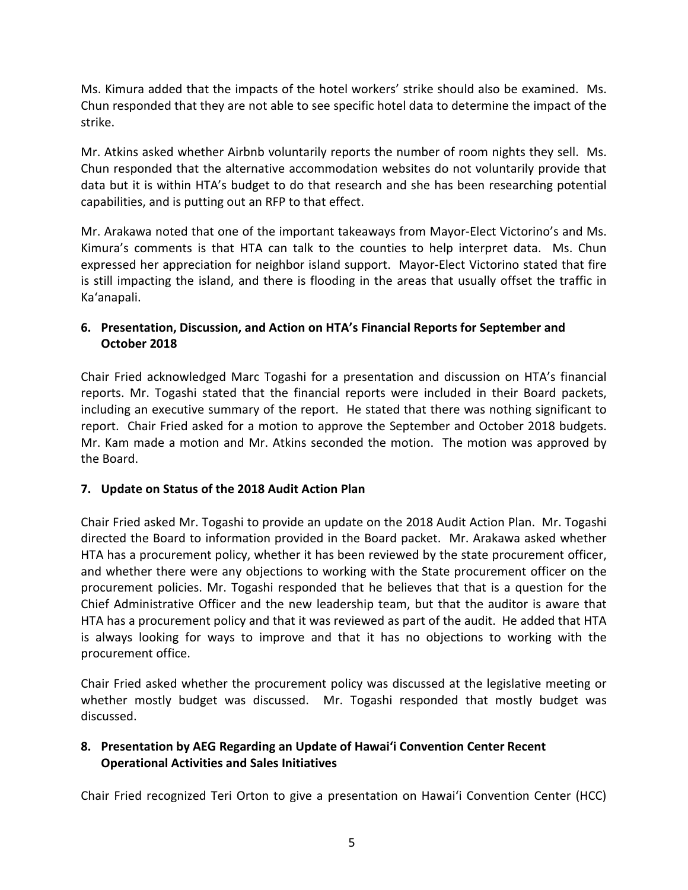Ms. Kimura added that the impacts of the hotel workers' strike should also be examined. Ms. Chun responded that they are not able to see specific hotel data to determine the impact of the strike.

Mr. Atkins asked whether Airbnb voluntarily reports the number of room nights they sell. Ms. Chun responded that the alternative accommodation websites do not voluntarily provide that data but it is within HTA's budget to do that research and she has been researching potential capabilities, and is putting out an RFP to that effect.

Mr. Arakawa noted that one of the important takeaways from Mayor-Elect Victorino's and Ms. Kimura's comments is that HTA can talk to the counties to help interpret data. Ms. Chun expressed her appreciation for neighbor island support. Mayor-Elect Victorino stated that fire is still impacting the island, and there is flooding in the areas that usually offset the traffic in Ka'anapali.

## **6. Presentation, Discussion, and Action on HTA's Financial Reports for September and October 2018**

Chair Fried acknowledged Marc Togashi for a presentation and discussion on HTA's financial reports. Mr. Togashi stated that the financial reports were included in their Board packets, including an executive summary of the report. He stated that there was nothing significant to report. Chair Fried asked for a motion to approve the September and October 2018 budgets. Mr. Kam made a motion and Mr. Atkins seconded the motion. The motion was approved by the Board.

## **7. Update on Status of the 2018 Audit Action Plan**

Chair Fried asked Mr. Togashi to provide an update on the 2018 Audit Action Plan. Mr. Togashi directed the Board to information provided in the Board packet. Mr. Arakawa asked whether HTA has a procurement policy, whether it has been reviewed by the state procurement officer, and whether there were any objections to working with the State procurement officer on the procurement policies. Mr. Togashi responded that he believes that that is a question for the Chief Administrative Officer and the new leadership team, but that the auditor is aware that HTA has a procurement policy and that it was reviewed as part of the audit. He added that HTA is always looking for ways to improve and that it has no objections to working with the procurement office.

Chair Fried asked whether the procurement policy was discussed at the legislative meeting or whether mostly budget was discussed. Mr. Togashi responded that mostly budget was discussed.

## **8. Presentation by AEG Regarding an Update of Hawai'i Convention Center Recent Operational Activities and Sales Initiatives**

Chair Fried recognized Teri Orton to give a presentation on Hawai'i Convention Center (HCC)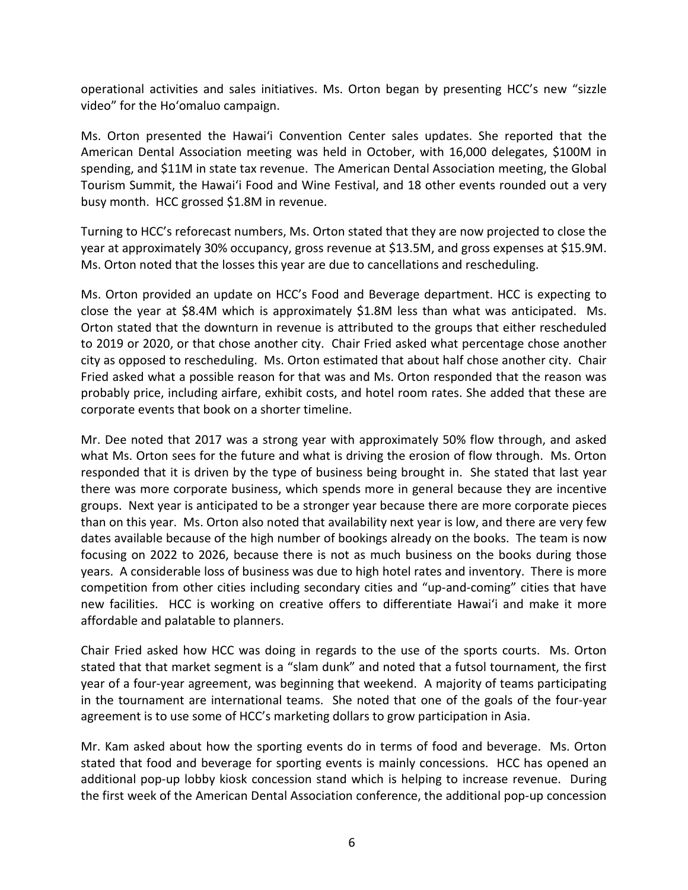operational activities and sales initiatives. Ms. Orton began by presenting HCC's new "sizzle video" for the Ho'omaluo campaign.

Ms. Orton presented the Hawai'i Convention Center sales updates. She reported that the American Dental Association meeting was held in October, with 16,000 delegates, \$100M in spending, and \$11M in state tax revenue. The American Dental Association meeting, the Global Tourism Summit, the Hawai'i Food and Wine Festival, and 18 other events rounded out a very busy month. HCC grossed \$1.8M in revenue.

Turning to HCC's reforecast numbers, Ms. Orton stated that they are now projected to close the year at approximately 30% occupancy, gross revenue at \$13.5M, and gross expenses at \$15.9M. Ms. Orton noted that the losses this year are due to cancellations and rescheduling.

Ms. Orton provided an update on HCC's Food and Beverage department. HCC is expecting to close the year at \$8.4M which is approximately \$1.8M less than what was anticipated. Ms. Orton stated that the downturn in revenue is attributed to the groups that either rescheduled to 2019 or 2020, or that chose another city. Chair Fried asked what percentage chose another city as opposed to rescheduling. Ms. Orton estimated that about half chose another city. Chair Fried asked what a possible reason for that was and Ms. Orton responded that the reason was probably price, including airfare, exhibit costs, and hotel room rates. She added that these are corporate events that book on a shorter timeline.

Mr. Dee noted that 2017 was a strong year with approximately 50% flow through, and asked what Ms. Orton sees for the future and what is driving the erosion of flow through. Ms. Orton responded that it is driven by the type of business being brought in. She stated that last year there was more corporate business, which spends more in general because they are incentive groups. Next year is anticipated to be a stronger year because there are more corporate pieces than on this year. Ms. Orton also noted that availability next year is low, and there are very few dates available because of the high number of bookings already on the books. The team is now focusing on 2022 to 2026, because there is not as much business on the books during those years. A considerable loss of business was due to high hotel rates and inventory. There is more competition from other cities including secondary cities and "up-and-coming" cities that have new facilities. HCC is working on creative offers to differentiate Hawai'i and make it more affordable and palatable to planners.

Chair Fried asked how HCC was doing in regards to the use of the sports courts. Ms. Orton stated that that market segment is a "slam dunk" and noted that a futsol tournament, the first year of a four-year agreement, was beginning that weekend. A majority of teams participating in the tournament are international teams. She noted that one of the goals of the four-year agreement is to use some of HCC's marketing dollars to grow participation in Asia.

Mr. Kam asked about how the sporting events do in terms of food and beverage. Ms. Orton stated that food and beverage for sporting events is mainly concessions. HCC has opened an additional pop-up lobby kiosk concession stand which is helping to increase revenue. During the first week of the American Dental Association conference, the additional pop-up concession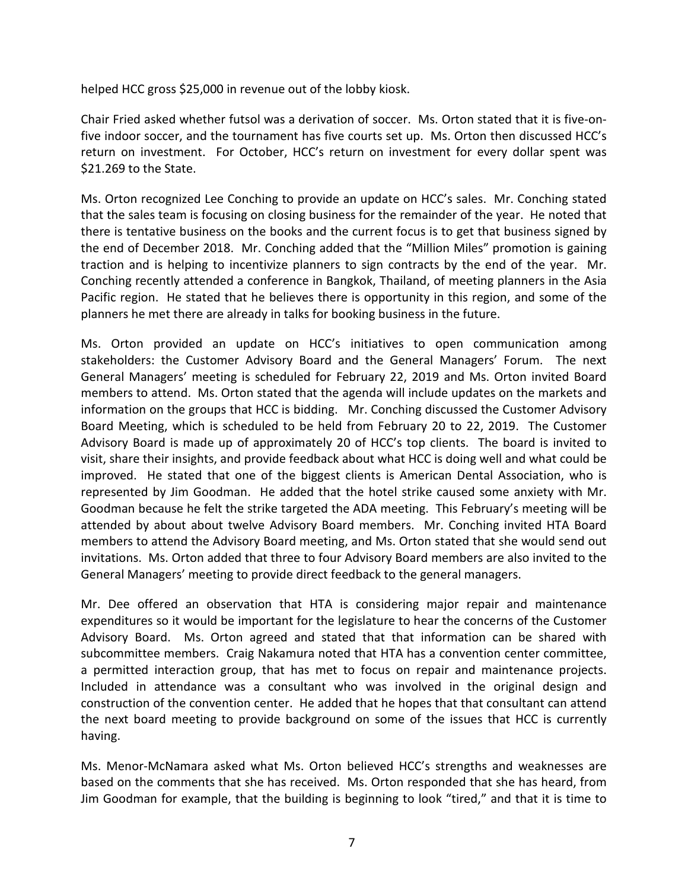helped HCC gross \$25,000 in revenue out of the lobby kiosk.

Chair Fried asked whether futsol was a derivation of soccer. Ms. Orton stated that it is five-onfive indoor soccer, and the tournament has five courts set up. Ms. Orton then discussed HCC's return on investment. For October, HCC's return on investment for every dollar spent was \$21.269 to the State.

Ms. Orton recognized Lee Conching to provide an update on HCC's sales. Mr. Conching stated that the sales team is focusing on closing business for the remainder of the year. He noted that there is tentative business on the books and the current focus is to get that business signed by the end of December 2018. Mr. Conching added that the "Million Miles" promotion is gaining traction and is helping to incentivize planners to sign contracts by the end of the year. Mr. Conching recently attended a conference in Bangkok, Thailand, of meeting planners in the Asia Pacific region. He stated that he believes there is opportunity in this region, and some of the planners he met there are already in talks for booking business in the future.

Ms. Orton provided an update on HCC's initiatives to open communication among stakeholders: the Customer Advisory Board and the General Managers' Forum. The next General Managers' meeting is scheduled for February 22, 2019 and Ms. Orton invited Board members to attend. Ms. Orton stated that the agenda will include updates on the markets and information on the groups that HCC is bidding. Mr. Conching discussed the Customer Advisory Board Meeting, which is scheduled to be held from February 20 to 22, 2019. The Customer Advisory Board is made up of approximately 20 of HCC's top clients. The board is invited to visit, share their insights, and provide feedback about what HCC is doing well and what could be improved. He stated that one of the biggest clients is American Dental Association, who is represented by Jim Goodman. He added that the hotel strike caused some anxiety with Mr. Goodman because he felt the strike targeted the ADA meeting. This February's meeting will be attended by about about twelve Advisory Board members. Mr. Conching invited HTA Board members to attend the Advisory Board meeting, and Ms. Orton stated that she would send out invitations. Ms. Orton added that three to four Advisory Board members are also invited to the General Managers' meeting to provide direct feedback to the general managers.

Mr. Dee offered an observation that HTA is considering major repair and maintenance expenditures so it would be important for the legislature to hear the concerns of the Customer Advisory Board. Ms. Orton agreed and stated that that information can be shared with subcommittee members. Craig Nakamura noted that HTA has a convention center committee, a permitted interaction group, that has met to focus on repair and maintenance projects. Included in attendance was a consultant who was involved in the original design and construction of the convention center. He added that he hopes that that consultant can attend the next board meeting to provide background on some of the issues that HCC is currently having.

Ms. Menor-McNamara asked what Ms. Orton believed HCC's strengths and weaknesses are based on the comments that she has received. Ms. Orton responded that she has heard, from Jim Goodman for example, that the building is beginning to look "tired," and that it is time to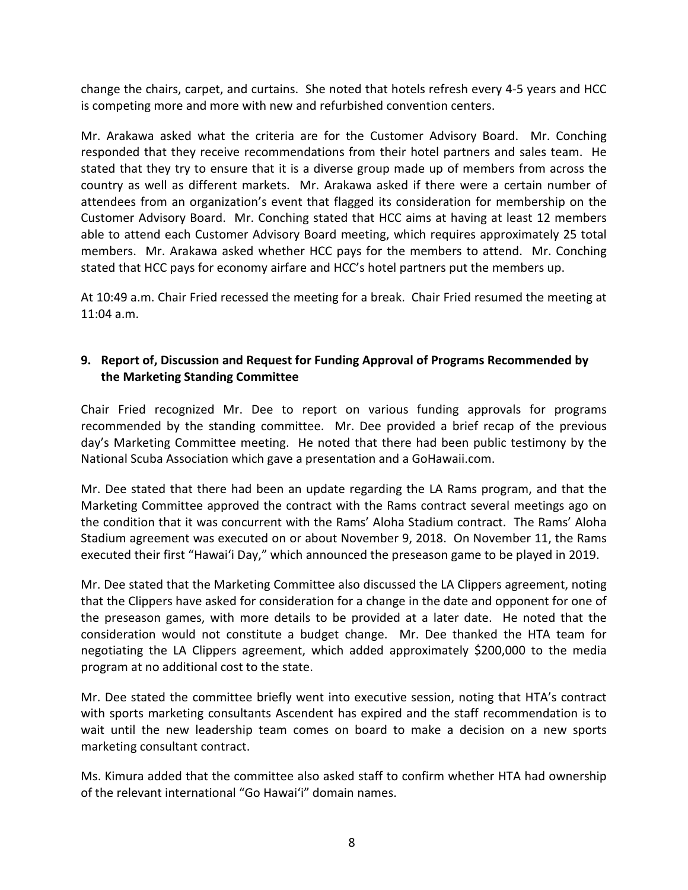change the chairs, carpet, and curtains. She noted that hotels refresh every 4-5 years and HCC is competing more and more with new and refurbished convention centers.

Mr. Arakawa asked what the criteria are for the Customer Advisory Board. Mr. Conching responded that they receive recommendations from their hotel partners and sales team. He stated that they try to ensure that it is a diverse group made up of members from across the country as well as different markets. Mr. Arakawa asked if there were a certain number of attendees from an organization's event that flagged its consideration for membership on the Customer Advisory Board. Mr. Conching stated that HCC aims at having at least 12 members able to attend each Customer Advisory Board meeting, which requires approximately 25 total members. Mr. Arakawa asked whether HCC pays for the members to attend. Mr. Conching stated that HCC pays for economy airfare and HCC's hotel partners put the members up.

At 10:49 a.m. Chair Fried recessed the meeting for a break. Chair Fried resumed the meeting at 11:04 a.m.

## **9. Report of, Discussion and Request for Funding Approval of Programs Recommended by the Marketing Standing Committee**

Chair Fried recognized Mr. Dee to report on various funding approvals for programs recommended by the standing committee. Mr. Dee provided a brief recap of the previous day's Marketing Committee meeting. He noted that there had been public testimony by the National Scuba Association which gave a presentation and a GoHawaii.com.

Mr. Dee stated that there had been an update regarding the LA Rams program, and that the Marketing Committee approved the contract with the Rams contract several meetings ago on the condition that it was concurrent with the Rams' Aloha Stadium contract. The Rams' Aloha Stadium agreement was executed on or about November 9, 2018. On November 11, the Rams executed their first "Hawai'i Day," which announced the preseason game to be played in 2019.

Mr. Dee stated that the Marketing Committee also discussed the LA Clippers agreement, noting that the Clippers have asked for consideration for a change in the date and opponent for one of the preseason games, with more details to be provided at a later date. He noted that the consideration would not constitute a budget change. Mr. Dee thanked the HTA team for negotiating the LA Clippers agreement, which added approximately \$200,000 to the media program at no additional cost to the state.

Mr. Dee stated the committee briefly went into executive session, noting that HTA's contract with sports marketing consultants Ascendent has expired and the staff recommendation is to wait until the new leadership team comes on board to make a decision on a new sports marketing consultant contract.

Ms. Kimura added that the committee also asked staff to confirm whether HTA had ownership of the relevant international "Go Hawai'i" domain names.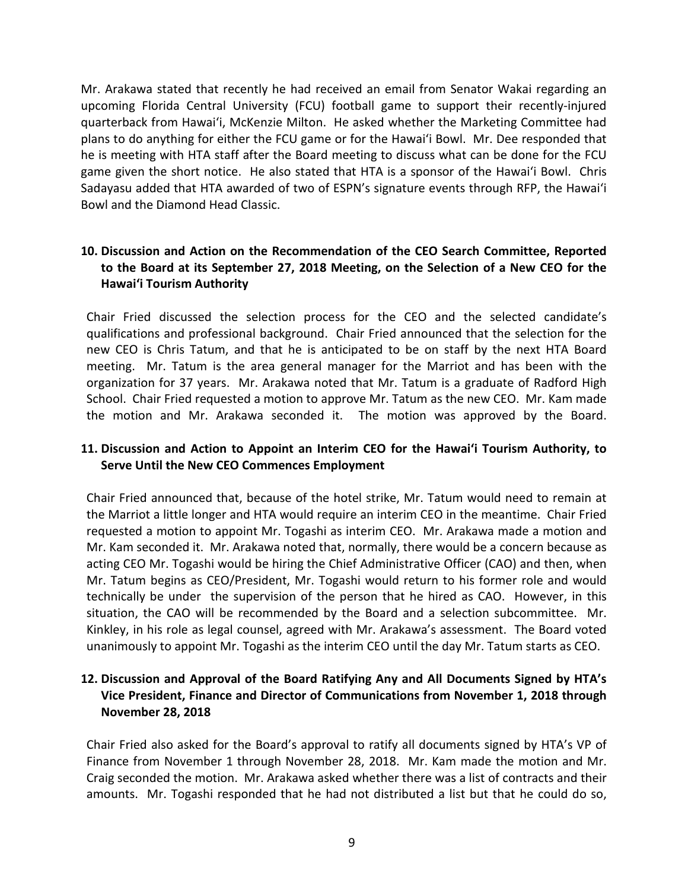Mr. Arakawa stated that recently he had received an email from Senator Wakai regarding an upcoming Florida Central University (FCU) football game to support their recently-injured quarterback from Hawai'i, McKenzie Milton. He asked whether the Marketing Committee had plans to do anything for either the FCU game or for the Hawai'i Bowl. Mr. Dee responded that he is meeting with HTA staff after the Board meeting to discuss what can be done for the FCU game given the short notice. He also stated that HTA is a sponsor of the Hawai'i Bowl. Chris Sadayasu added that HTA awarded of two of ESPN's signature events through RFP, the Hawai'i Bowl and the Diamond Head Classic.

## **10. Discussion and Action on the Recommendation of the CEO Search Committee, Reported to the Board at its September 27, 2018 Meeting, on the Selection of a New CEO for the Hawai'i Tourism Authority**

Chair Fried discussed the selection process for the CEO and the selected candidate's qualifications and professional background. Chair Fried announced that the selection for the new CEO is Chris Tatum, and that he is anticipated to be on staff by the next HTA Board meeting. Mr. Tatum is the area general manager for the Marriot and has been with the organization for 37 years. Mr. Arakawa noted that Mr. Tatum is a graduate of Radford High School. Chair Fried requested a motion to approve Mr. Tatum as the new CEO. Mr. Kam made the motion and Mr. Arakawa seconded it. The motion was approved by the Board.

### **11. Discussion and Action to Appoint an Interim CEO for the Hawai'i Tourism Authority, to Serve Until the New CEO Commences Employment**

Chair Fried announced that, because of the hotel strike, Mr. Tatum would need to remain at the Marriot a little longer and HTA would require an interim CEO in the meantime. Chair Fried requested a motion to appoint Mr. Togashi as interim CEO. Mr. Arakawa made a motion and Mr. Kam seconded it. Mr. Arakawa noted that, normally, there would be a concern because as acting CEO Mr. Togashi would be hiring the Chief Administrative Officer (CAO) and then, when Mr. Tatum begins as CEO/President, Mr. Togashi would return to his former role and would technically be under the supervision of the person that he hired as CAO. However, in this situation, the CAO will be recommended by the Board and a selection subcommittee. Mr. Kinkley, in his role as legal counsel, agreed with Mr. Arakawa's assessment. The Board voted unanimously to appoint Mr. Togashi as the interim CEO until the day Mr. Tatum starts as CEO.

### **12. Discussion and Approval of the Board Ratifying Any and All Documents Signed by HTA's Vice President, Finance and Director of Communications from November 1, 2018 through November 28, 2018**

Chair Fried also asked for the Board's approval to ratify all documents signed by HTA's VP of Finance from November 1 through November 28, 2018. Mr. Kam made the motion and Mr. Craig seconded the motion. Mr. Arakawa asked whether there was a list of contracts and their amounts. Mr. Togashi responded that he had not distributed a list but that he could do so,